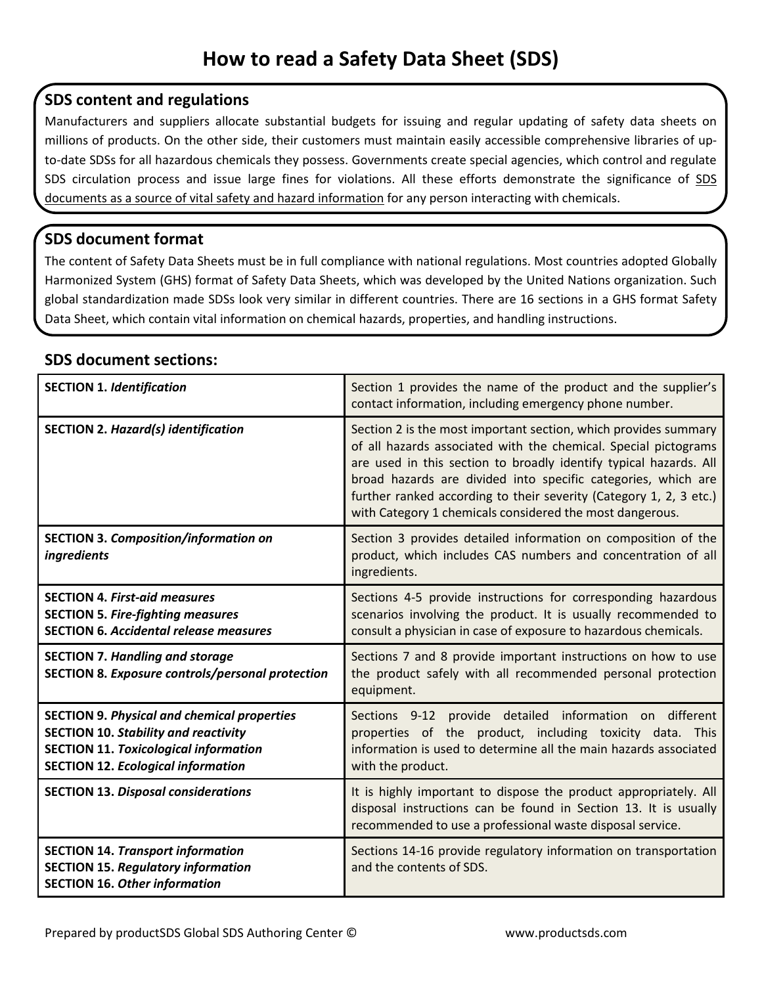## **SDS content and regulations**

Manufacturers and suppliers allocate substantial budgets for issuing and regular updating of safety data sheets on millions of products. On the other side, their customers must maintain easily accessible comprehensive libraries of upto-date SDSs for all hazardous chemicals they possess. Governments create special agencies, which control and regulate SDS circulation process and issue large fines for violations. All these efforts demonstrate the significance of SDS documents as a source of vital safety and hazard information for any person interacting with chemicals.

## **SDS document format**

The content of Safety Data Sheets must be in full compliance with national regulations. Most countries adopted Globally Harmonized System (GHS) format of Safety Data Sheets, which was developed by the United Nations organization. Such global standardization made SDSs look very similar in different countries. There are 16 sections in a GHS format Safety Data Sheet, which contain vital information on chemical hazards, properties, and handling instructions.

## **SDS document sections:**

| <b>SECTION 1. Identification</b>                                                                                                                                                               | Section 1 provides the name of the product and the supplier's<br>contact information, including emergency phone number.                                                                                                                                                                                                                                                                                    |
|------------------------------------------------------------------------------------------------------------------------------------------------------------------------------------------------|------------------------------------------------------------------------------------------------------------------------------------------------------------------------------------------------------------------------------------------------------------------------------------------------------------------------------------------------------------------------------------------------------------|
| <b>SECTION 2. Hazard(s) identification</b>                                                                                                                                                     | Section 2 is the most important section, which provides summary<br>of all hazards associated with the chemical. Special pictograms<br>are used in this section to broadly identify typical hazards. All<br>broad hazards are divided into specific categories, which are<br>further ranked according to their severity (Category 1, 2, 3 etc.)<br>with Category 1 chemicals considered the most dangerous. |
| <b>SECTION 3. Composition/information on</b><br>ingredients                                                                                                                                    | Section 3 provides detailed information on composition of the<br>product, which includes CAS numbers and concentration of all<br>ingredients.                                                                                                                                                                                                                                                              |
| <b>SECTION 4. First-aid measures</b><br><b>SECTION 5. Fire-fighting measures</b><br><b>SECTION 6. Accidental release measures</b>                                                              | Sections 4-5 provide instructions for corresponding hazardous<br>scenarios involving the product. It is usually recommended to<br>consult a physician in case of exposure to hazardous chemicals.                                                                                                                                                                                                          |
| <b>SECTION 7. Handling and storage</b><br><b>SECTION 8. Exposure controls/personal protection</b>                                                                                              | Sections 7 and 8 provide important instructions on how to use<br>the product safely with all recommended personal protection<br>equipment.                                                                                                                                                                                                                                                                 |
| <b>SECTION 9. Physical and chemical properties</b><br><b>SECTION 10. Stability and reactivity</b><br><b>SECTION 11. Toxicological information</b><br><b>SECTION 12. Ecological information</b> | Sections 9-12 provide detailed information on different<br>properties of the product, including toxicity data. This<br>information is used to determine all the main hazards associated<br>with the product.                                                                                                                                                                                               |
| <b>SECTION 13. Disposal considerations</b>                                                                                                                                                     | It is highly important to dispose the product appropriately. All<br>disposal instructions can be found in Section 13. It is usually<br>recommended to use a professional waste disposal service.                                                                                                                                                                                                           |
| <b>SECTION 14. Transport information</b><br><b>SECTION 15. Regulatory information</b><br><b>SECTION 16. Other information</b>                                                                  | Sections 14-16 provide regulatory information on transportation<br>and the contents of SDS.                                                                                                                                                                                                                                                                                                                |